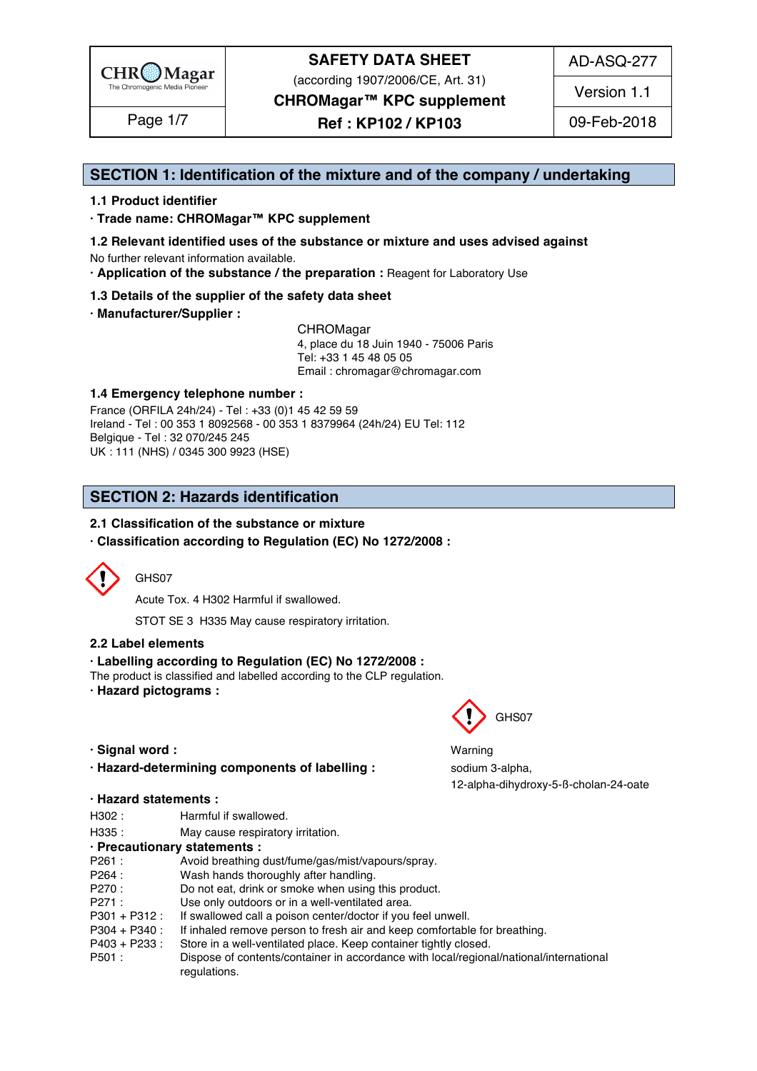

(according 1907/2006/CE, Art. 31)

AD-ASQ-277

Version 1.1

**CHROMagar™ KPC supplement**

**Ref : KP102 / KP103** Page 1/7 09-Feb-2018

### **SECTION 1: Identification of the mixture and of the company / undertaking** 1

#### **1.1 Product identifier** 2

**· Trade name: CHROMagar™ KPC supplement** 3

- **1.2 Relevant identified uses of the substance or mixture and uses advised against** 4 No further relevant information available. 5
- **· Application of the substance / the preparation :** Reagent for Laboratory Use 6

#### **1.3 Details of the supplier of the safety data sheet** 7

**· Manufacturer/Supplier :** 8

CHROMagar 9 4, place du 18 Juin 1940 - 75006 Paris 10 Tel: +33 1 45 48 05 05 11 Email : chromagar@chromagar.com 12

#### **1.4 Emergency telephone number :** 13

France (ORFILA 24h/24) - Tel: +33 (0)1 45 42 59 59 Ireland - Tel: 00 353 1 8092568 - 00 353 1 8379964 (24h/24) EU Tel: 112 Belgique - Tel : 32 070/245 245 16 UK : 111 (NHS) / 0345 300 9923 (HSE) 17

### **SECTION 2: Hazards identification** 20

#### **2.1 Classification of the substance or mixture**

**· Classification according to Regulation (EC) No 1272/2008 :** 22



#### GHS07 24 24 24 24 25 26 27 27 28 29 20 21 22 23 24 25 26 27 27 28 29 29 20 21 22 23 24 25 26 27 27 27 27 27 27

Acute Tox. 4 H302 Harmful if swallowed. 25

STOT SE 3 H335 May cause respiratory irritation.

#### **2.2 Label elements** 27

#### **· Labelling according to Regulation (EC) No 1272/2008 :** 28

The product is classified and labelled according to the CLP regulation.

**· Hazard pictograms :** 30



**· Hazard-determining components of labelling : sodium 3-alpha,** 

#### **· Hazard statements :** 37

- H302 : Harmful if swallowed. 388 and 388 and 388 and 388 and 388 and 388 and 388 and 388 and 388 and 388 and 38
- H335 : May cause respiratory irritation. 39 and 200 minutes and 200 minutes of the May cause respiratory irritation.

#### **· Precautionary statements :** 40

| $\sim$ $\sim$ $\sim$ $\sim$<br>. ا 20 | Avoid breathing dust/fume/gas/mist/vapours/spray. |  |  |
|---------------------------------------|---------------------------------------------------|--|--|
|---------------------------------------|---------------------------------------------------|--|--|

- P264 : Wash hands thoroughly after handling. And the state of the state of the state of the state of the state of the state of the state of the state of the state of the state of the state of the state of the state of the
- P270 : Do not eat, drink or smoke when using this product.
- P271 : Use only outdoors or in a well-ventilated area.
- P301 + P312 : If swallowed call a poison center/doctor if you feel unwell.
- P304 + P340 : If inhaled remove person to fresh air and keep comfortable for breathing.
- P403 + P233 : Store in a well-ventilated place. Keep container tightly closed.<br>P501 : Dispose of contents/container in accordance with local/regional
	- Dispose of contents/container in accordance with local/regional/national/international regulations. And the contract of the contract of the contract of the contract of the contract of the contract of the contract of the contract of the contract of the contract of the contract of the contract of the contract



**· Signal word :** Warning 34 12-alpha-dihydroxy-5-ß-cholan-24-oate 36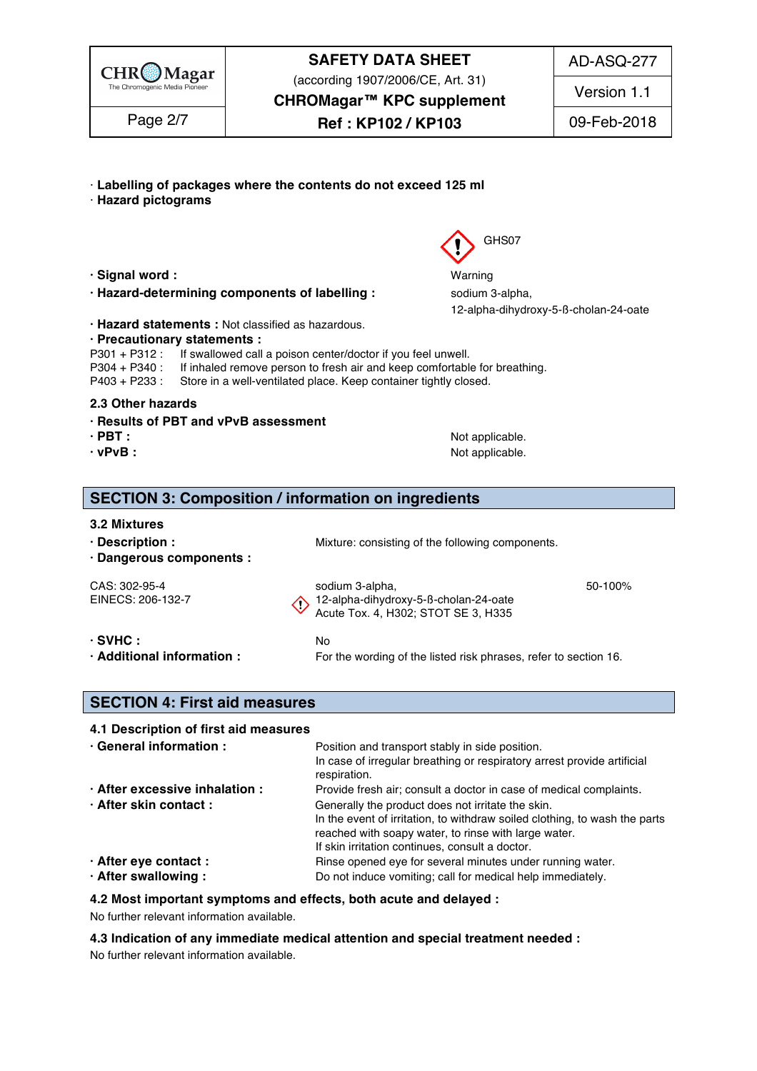

(according 1907/2006/CE, Art. 31)

AD-ASQ-277

**CHROMagar™ KPC supplement**

Page 2/7  $\begin{array}{|c|c|c|c|c|}\n\hline\n\text{Page 2/7} & \text{Ref : KP102 / KP103} \\
\hline\n\end{array}$  09-Feb-2018

Version 1.1

- · **Labelling of packages where the contents do not exceed 125 ml** 51
- · **Hazard pictograms** 52
- **· Signal word :** Warning 57
- **· Hazard-determining components of labelling : sodium 3-alpha,**
- **· Hazard statements :** Not classified as hazardous. 60

#### **· Precautionary statements :** 61

P301 + P312 : If swallowed call a poison center/doctor if you feel unwell.<br>P304 + P340 : If inhaled remove person to fresh air and keep comfortable

- If inhaled remove person to fresh air and keep comfortable for breathing.
- P403 + P233 : Store in a well-ventilated place. Keep container tightly closed.

#### **2.3 Other hazards** 65

- **· Results of PBT and vPvB assessment** 66
- **· PBT : a i i i c o i i i c o i o i o i o i o i o i o i o i o i o i o i o i o i o i o i o i o i o i o i o i o i o**
- 
- **· vPvB :** Not applicable. 68

### **SECTION 3: Composition / information on ingredients**

#### **3.2 Mixtures** 72 Mixtures 72 Mixtures 72 Mixtures 72 Mixtures 72 Mixtures 72 Mixtures 72 Mixtures 72 Mixtures 72 Mixtures 72 Mixtures 72 Mixtures 72 Mixtures 72 Mixtures 72 Mixtures 72 Mixtures 72 Mixtures 72 Mixtures 72

- 
- **· Dangerous components :** 74

**• Description : Wixture: consisting of the following components.** 733 and 733 and 733 and 733 and 733 and 733 and 733 and 733 and 733 and 733 and 733 and 733 and 733 and 733 and 733 and 733 and 733 and 733 and 733 and 7

CAS: 302-95-4 sodium 3-alpha, something the sodium 3-alpha, something the state of the solid state of the soli EINECS: 206-132-7  $\bigwedge$  12-alpha-dihydroxy-5-ß-cholan-24-oate Acute Tox. 4, H302; STOT SE 3, H335

| $\cdot$ SVHC :                         |  |
|----------------------------------------|--|
| $\cdot$ Additional information $\cdot$ |  |

 $\bullet$  SVHC  $\bullet$  **:** No 800  $\bullet$  No 800  $\bullet$  800  $\bullet$  800  $\bullet$  800  $\bullet$  800  $\bullet$  800  $\bullet$  800  $\bullet$  800  $\bullet$  800  $\bullet$  800  $\bullet$  800  $\bullet$  800  $\bullet$  800  $\bullet$  800  $\bullet$  800  $\bullet$  800  $\bullet$  800  $\bullet$  800  $\bullet$  800  $\bullet$  800  $\bullet$  800  $\bullet$ **Additional information :** For the wording of the listed risk phrases, refer to section 16.

#### **SECTION 4: First aid measures** 84

#### **4.1 Description of first aid measures** 85

| · General information :        | Position and transport stably in side position.<br>In case of irregular breathing or respiratory arrest provide artificial<br>respiration.                                                                                                 |
|--------------------------------|--------------------------------------------------------------------------------------------------------------------------------------------------------------------------------------------------------------------------------------------|
| · After excessive inhalation : | Provide fresh air; consult a doctor in case of medical complaints.                                                                                                                                                                         |
| · After skin contact:          | Generally the product does not irritate the skin.<br>In the event of irritation, to withdraw soiled clothing, to wash the parts<br>reached with soapy water, to rinse with large water.<br>If skin irritation continues, consult a doctor. |
| · After eye contact :          | Rinse opened eye for several minutes under running water.                                                                                                                                                                                  |
| · After swallowing:            | Do not induce vomiting; call for medical help immediately.                                                                                                                                                                                 |

#### **4.2 Most important symptoms and effects, both acute and delayed :** 96

No further relevant information available. 97

**4.3 Indication of any immediate medical attention and special treatment needed :** 98

No further relevant information available. 99

GHS07

12-alpha-dihydroxy-5-ß-cholan-24-oate 59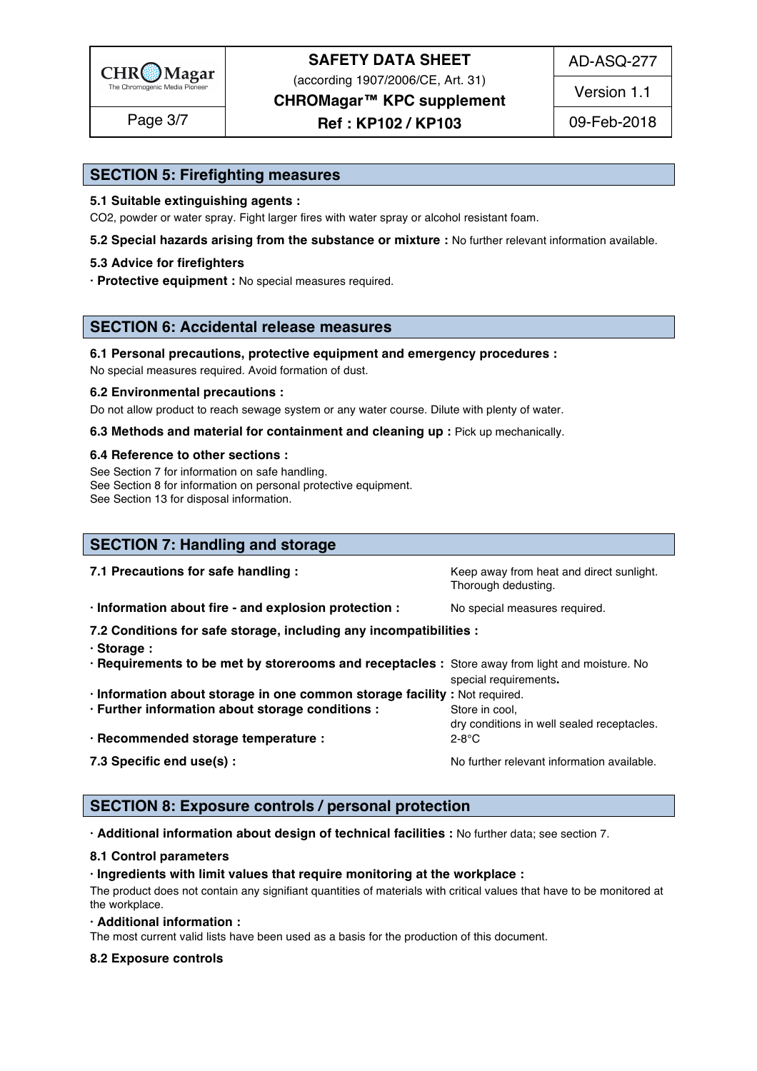

(according 1907/2006/CE, Art. 31)

AD-ASQ-277

**CHROMagar™ KPC supplement**

**Ref : KP102 / KP103** Page 3/7 09-Feb-2018

Version 1.1

### **SECTION 5: Firefighting measures**

#### **5.1 Suitable extinguishing agents :** 101

CO2, powder or water spray. Fight larger fires with water spray or alcohol resistant foam.

**5.2 Special hazards arising from the substance or mixture :** No further relevant information available.

#### **5.3 Advice for firefighters** 104

**· Protective equipment :** No special measures required.

### **SECTION 6: Accidental release measures**

#### **6.1 Personal precautions, protective equipment and emergency procedures :** 109

No special measures required. Avoid formation of dust.

#### **6.2 Environmental precautions :** 111

Do not allow product to reach sewage system or any water course. Dilute with plenty of water.

**6.3 Methods and material for containment and cleaning up : Pick up mechanically.** 

#### **6.4 Reference to other sections :** 114

See Section 7 for information on safe handling. 115 and 115 and 115 and 115 and 115 and 115 and 115 and 115 and 115 and 115 and 115 and 115 and 115 and 115 and 115 and 115 and 115 and 115 and 115 and 115 and 115 and 115 an See Section 8 for information on personal protective equipment.

See Section 13 for disposal information. 117 and 200 minutes are all the section of the section 13 for disposal information.

| <b>SECTION 7: Handling and storage</b>                                                                                                                                              |                                                                 |
|-------------------------------------------------------------------------------------------------------------------------------------------------------------------------------------|-----------------------------------------------------------------|
| 7.1 Precautions for safe handling:                                                                                                                                                  | Keep away from heat and direct sunlight.<br>Thorough dedusting. |
| · Information about fire - and explosion protection :                                                                                                                               | No special measures required.                                   |
| 7.2 Conditions for safe storage, including any incompatibilities :<br>· Storage:<br>· Requirements to be met by storerooms and receptacles : Store away from light and moisture. No | special requirements.                                           |
| · Information about storage in one common storage facility : Not required.<br>· Further information about storage conditions :                                                      | Store in cool,<br>dry conditions in well sealed receptacles.    |
| · Recommended storage temperature :                                                                                                                                                 | $2-8$ °C                                                        |
| 7.3 Specific end use(s) :                                                                                                                                                           | No further relevant information available.                      |

### **SECTION 8: Exposure controls / personal protection**

**· Additional information about design of technical facilities :** No further data; see section 7. 136

#### **8.1 Control parameters** 137

#### **· Ingredients with limit values that require monitoring at the workplace :** 138

The product does not contain any signifiant quantities of materials with critical values that have to be monitored at  $\epsilon$  the workplace. The mass of  $\epsilon$  is a set of  $\epsilon$  is a set of  $\epsilon$  is a set of  $\epsilon$  is a set of  $\epsilon$  is a set of  $\epsilon$  is a set of  $\epsilon$  is a set of  $\epsilon$  is a set of  $\epsilon$  is a set of  $\epsilon$  is a set of  $\epsilon$  is a set of  $\$ 

#### **· Additional information :** 141

The most current valid lists have been used as a basis for the production of this document.

#### **8.2 Exposure controls** 143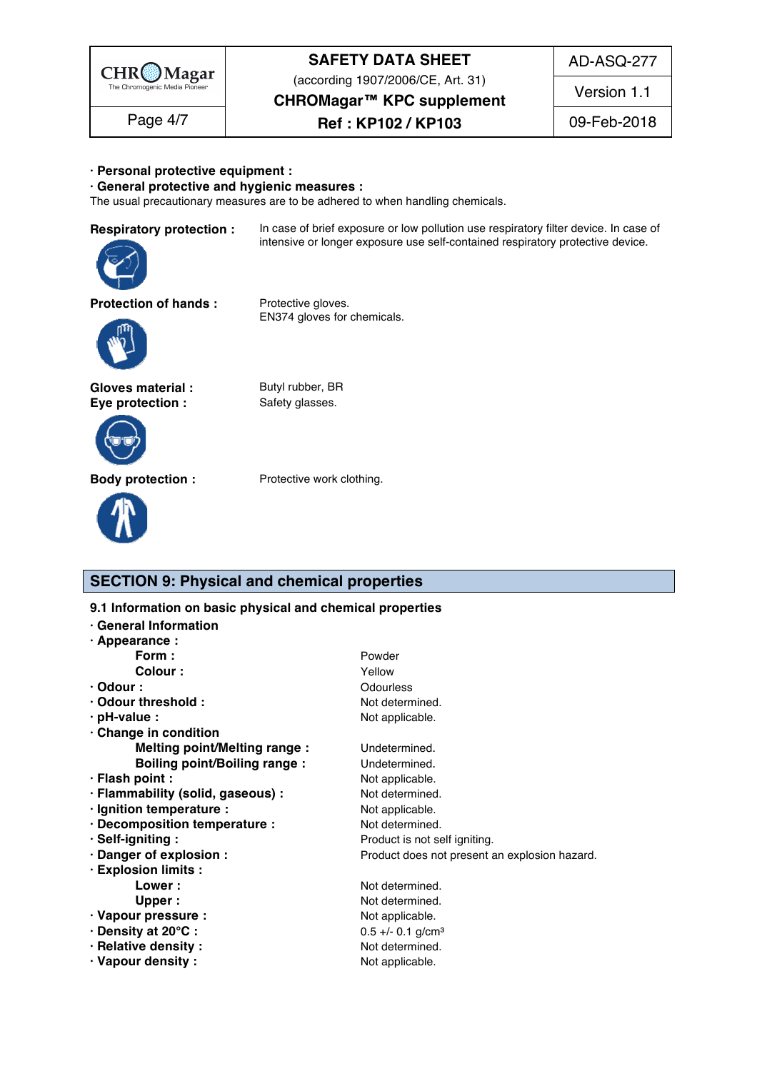

(according 1907/2006/CE, Art. 31)

AD-ASQ-277

Version 1.1

**CHROMagar™ KPC supplement**

## Page 4/7  $\begin{array}{|c|c|c|c|c|}\n\hline\n\text{Page 4/7} & \text{Ref : KP102 / KP103} \\
\hline\n\end{array}$  09-Feb-2018

#### **· Personal protective equipment :** 144

**· General protective and hygienic measures :** 145

The usual precautionary measures are to be adhered to when handling chemicals.

| nespirator |
|------------|
|            |
|            |
|            |
|            |
|            |

**Respiratory protection :** In case of brief exposure or low pollution use respiratory filter device. In case of intensive or longer exposure use self-contained respiratory protective device.

**Protection of hands :** Protective gloves.



Gloves material : Butyl rubber, BR **Eye protection :** Safety glasses.



**Body protection :** Protective work clothing.



EN374 gloves for chemicals.

# **SECTION 9: Physical and chemical properties**

9.1 Information on basic physical and chemical properties

| <b>General Information</b>          |                                               |  |
|-------------------------------------|-----------------------------------------------|--|
| $\cdot$ Appearance :                |                                               |  |
| Form :                              | Powder                                        |  |
| <b>Colour:</b>                      | Yellow                                        |  |
| $\cdot$ Odour :                     | Odourless                                     |  |
| · Odour threshold:                  | Not determined.                               |  |
| $\cdot$ pH-value :                  | Not applicable.                               |  |
| · Change in condition               |                                               |  |
| Melting point/Melting range :       | Undetermined.                                 |  |
| <b>Boiling point/Boiling range:</b> | Undetermined.                                 |  |
| · Flash point :                     | Not applicable.                               |  |
| · Flammability (solid, gaseous) :   | Not determined.                               |  |
| · Ignition temperature :            | Not applicable.                               |  |
| · Decomposition temperature :       | Not determined.                               |  |
| · Self-igniting:                    | Product is not self igniting.                 |  |
| · Danger of explosion :             | Product does not present an explosion hazard. |  |
| · Explosion limits :                |                                               |  |
| Lower:                              | Not determined.                               |  |
| Upper:                              | Not determined.                               |  |
| · Vapour pressure :                 | Not applicable.                               |  |
| · Density at 20°C:                  | $0.5 +/- 0.1$ g/cm <sup>3</sup>               |  |
| · Relative density:                 | Not determined.                               |  |
| · Vapour density:                   | Not applicable.                               |  |
|                                     |                                               |  |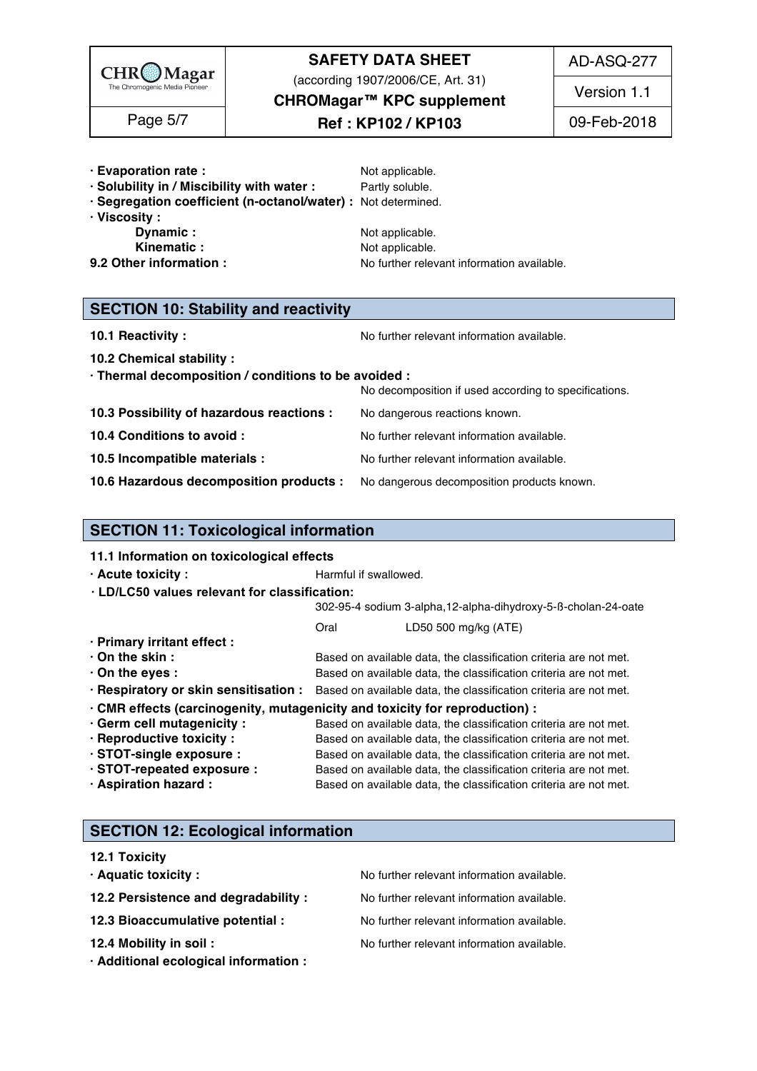

(according 1907/2006/CE, Art. 31)

AD-ASQ-277

**CHROMagar™ KPC supplement**

# **Ref : KP102 / KP103** Page 5/7 09-Feb-2018

Version 1.1

- **· Evaporation rate :**  $\qquad \qquad \text{Not applicable.}$
- **· Solubility in / Miscibility with water :** Partly soluble. 176
- **· Segregation coefficient (n-octanol/water) :** Not determined. 177
- 
- 
- 
- 

**· Viscosity :** 178 **Dynamic :** The contract of the contract of the contract of the contract of the contract of the contract of the contract of the contract of the contract of the contract of the contract of the contract of the contract of **Kinematic :** The contract of the Motor Motor applicable. The contract of the contract of the contract of the contract of the contract of the contract of the contract of the contract of the contract of the contract of the **9.2 Other information :** No further relevant information available.

| <b>SECTION 10: Stability and reactivity</b> |  |  |
|---------------------------------------------|--|--|
|---------------------------------------------|--|--|

**10.1 Reactivity :** No further relevant information available. 1852 and the set of the set of the Norther relevant information available.

**10.2 Chemical stability :** 186

| · Thermal decomposition / conditions to be avoided : |                                                                                    |
|------------------------------------------------------|------------------------------------------------------------------------------------|
|                                                      | No decomposition if used according to specifications.                              |
| 10.3 Possibility of hazardous reactions :            | No dangerous reactions known.                                                      |
| 10.4 Conditions to avoid :                           | No further relevant information available.                                         |
| 10.5 Incompatible materials :                        | No further relevant information available.                                         |
|                                                      | 10.6 Hazardous decomposition products : No dangerous decomposition products known. |

### **SECTION 11: Toxicological information**

### **11.1 Information on toxicological effects · Acute toxicity :** The Manual is extended in the Harmful if swallowed. 1972 and the Manual Section 1973 and the Manual Section 1973 and the Manual Section 1973 and the Manual Section 1973 and the Manual Section 1973 and  $\cdot$  **LD/LC50** values relevant for classification: 302-95-4 sodium 3-alpha,12-alpha-dihydroxy-5-ß-cholan-24-oate 199 Oral CD50 500 mg/kg (ATE) **· Primary irritant effect :** 202 **· On the skin : blue and the skin : Based on available data, the classification criteria are not met. • On the eyes : blue and a set of a set of available data, the classification criteria are not met. · Respiratory or skin sensitisation :** Based on available data, the classification criteria are not met. **· CMR effects (carcinogenity, mutagenicity and toxicity for reproduction) :** 206 **· Germ cell mutagenicity :** Based on available data, the classification criteria are not met. **· Reproductive toxicity :** Based on available data, the classification criteria are not met. **· STOT-single exposure :** Based on available data, the classification criteria are not met. **· STOT-repeated exposure :** Based on available data, the classification criteria are not met. **· Aspiration hazard :** Based on available data, the classification criteria are not met.

# **SECTION 12: Ecological information**

# **12.1 Toxicity** 215 **· Aquatic toxicity : We are all the COV COVERTY COVERTY And SALE ACCORDING TO A RETAINING THE PROOF COVERTY COVERTY CONTRACT ACCORDING TO A RETAINING THE PROOF COVERTY CONTRACT A RETAINING THE PROOF COVERTY CONTRACT A R 12.2 Persistence and degradability :** No further relevant information available. **12.3 Bioaccumulative potential :** No further relevant information available. **12.4 Mobility in soil : No further relevant information available.** 219. The same of the state of the state of the state of the state of the state of the state of the state of the state of the state of the state of the **· Additional ecological information :** 220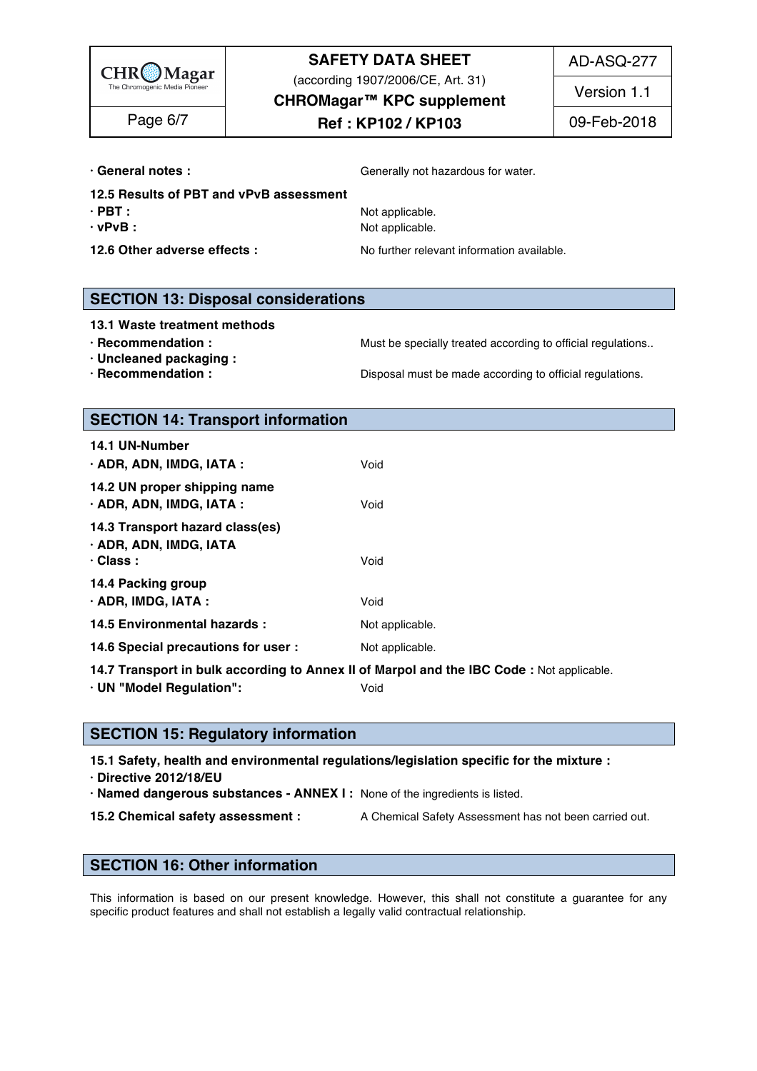

(according 1907/2006/CE, Art. 31)

AD-ASQ-277

**CHROMagar™ KPC supplement**

# **Ref : KP102 / KP103** Page 6/7 09-Feb-2018

Version 1.1

**• General notes : Communist Communist Communist Communist Communist Communist Communist Communist Communist Communist Communist Communist Communist Communist Communist Communist Communist Communist Communist Communist C** 

- **12.5 Results of PBT and vPvB assessment**
- 
- 

**· PBT :** Not applicable. 223 **· vPvB :** Not applicable. 224

**12.6 Other adverse effects :** No further relevant information available.

### **SECTION 13: Disposal considerations**

**13.1 Waste treatment methods** 229

- **· Recommendation : Must be specially treated according to official regulations..**
- 
- **· Recommendation : Disposal must be made according to official regulations.**

**· Uncleaned packaging :** 231

**SECTION 14: Transport information** 

| 14.1 UN-Number<br>· ADR, ADN, IMDG, IATA :                            | Void            |  |  |
|-----------------------------------------------------------------------|-----------------|--|--|
| 14.2 UN proper shipping name<br>· ADR, ADN, IMDG, IATA :              | Void            |  |  |
| 14.3 Transport hazard class(es)<br>· ADR, ADN, IMDG, IATA<br>· Class: | Void            |  |  |
| 14.4 Packing group<br>$\cdot$ ADR, IMDG, IATA :                       | Void            |  |  |
| 14.5 Environmental hazards :                                          | Not applicable. |  |  |
| 14.6 Special precautions for user :                                   | Not applicable. |  |  |

14.7 Transport in bulk according to Annex II of Marpol and the IBC Code : Not applicable.

**· UN "Model Regulation":** Void 248

### **SECTION 15: Regulatory information**

**15.1 Safety, health and environmental regulations/legislation specific for the mixture :** 252

**· Directive 2012/18/EU** 253

**· Named dangerous substances - ANNEX I :** None of the ingredients is listed. 254

**15.2 Chemical safety assessment :** A Chemical Safety Assessment has not been carried out.

## **SECTION 16: Other information** 258

This information is based on our present knowledge. However, this shall not constitute a guarantee for any specific product features and shall not establish a legally valid contractual relationship.